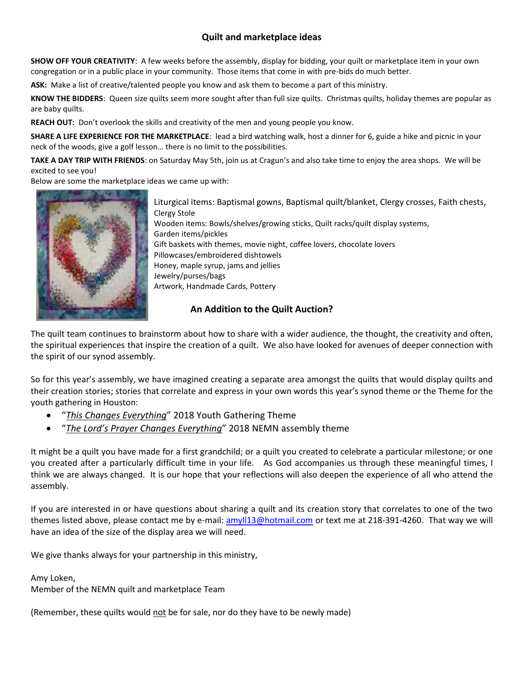## **Quilt and marketplace ideas**

**SHOW OFF YOUR CREATIVITY**: A few weeks before the assembly, display for bidding, your quilt or marketplace item in your own congregation or in a public place in your community. Those items that come in with pre-bids do much better.

**ASK:** Make a list of creative/talented people you know and ask them to become a part of this ministry.

**KNOW THE BIDDERS**: Queen size quilts seem more sought after than full size quilts. Christmas quilts, holiday themes are popular as are baby quilts.

**REACH OUT:** Don't overlook the skills and creativity of the men and young people you know.

**SHARE A LIFE EXPERIENCE FOR THE MARKETPLACE**: lead a bird watching walk, host a dinner for 6, guide a hike and picnic in your neck of the woods, give a golf lesson… there is no limit to the possibilities.

**TAKE A DAY TRIP WITH FRIENDS**: on Saturday May 5th, join us at Cragun's and also take time to enjoy the area shops. We will be excited to see you!

Below are some the marketplace ideas we came up with:



Liturgical items: Baptismal gowns, Baptismal quilt/blanket, Clergy crosses, Faith chests, Clergy Stole Wooden items: Bowls/shelves/growing sticks, Quilt racks/quilt display systems, Garden items/pickles Gift baskets with themes, movie night, coffee lovers, chocolate lovers Pillowcases/embroidered dishtowels Honey, maple syrup, jams and jellies Jewelry/purses/bags Artwork, Handmade Cards, Pottery

## **An Addition to the Quilt Auction?**

The quilt team continues to brainstorm about how to share with a wider audience, the thought, the creativity and often, the spiritual experiences that inspire the creation of a quilt. We also have looked for avenues of deeper connection with the spirit of our synod assembly.

So for this year's assembly, we have imagined creating a separate area amongst the quilts that would display quilts and their creation stories; stories that correlate and express in your own words this year's synod theme or the Theme for the youth gathering in Houston:

- "*This Changes Everything*" 2018 Youth Gathering Theme
- "*The Lord's Prayer Changes Everything*" 2018 NEMN assembly theme

It might be a quilt you have made for a first grandchild; or a quilt you created to celebrate a particular milestone; or one you created after a particularly difficult time in your life. As God accompanies us through these meaningful times, I think we are always changed. It is our hope that your reflections will also deepen the experience of all who attend the assembly.

If you are interested in or have questions about sharing a quilt and its creation story that correlates to one of the two themes listed above, please contact me by e-mail: [amyll13@hotmail.com](mailto:amyll13@hotmail.com) or text me at 218-391-4260. That way we will have an idea of the size of the display area we will need.

We give thanks always for your partnership in this ministry,

Amy Loken,

Member of the NEMN quilt and marketplace Team

(Remember, these quilts would not be for sale, nor do they have to be newly made)